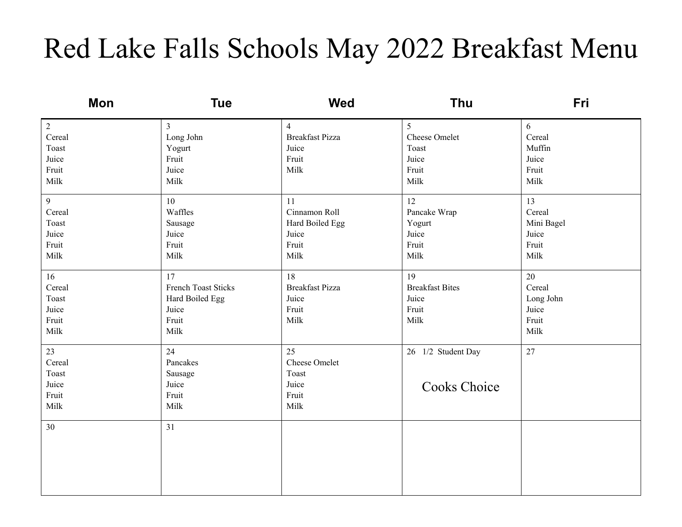## Red Lake Falls Schools May 2022 Breakfast Menu

| Mon            | <b>Tue</b>          | <b>Wed</b>             | Thu                    | Fri        |
|----------------|---------------------|------------------------|------------------------|------------|
| $\overline{2}$ | $\overline{3}$      | $\overline{4}$         | 5                      | 6          |
| Cereal         | Long John           | <b>Breakfast Pizza</b> | Cheese Omelet          | Cereal     |
| Toast          | Yogurt              | Juice                  | Toast                  | Muffin     |
| Juice          | Fruit               | Fruit                  | Juice                  | Juice      |
| Fruit          | Juice               | Milk                   | Fruit                  | Fruit      |
| Milk           | Milk                |                        | Milk                   | Milk       |
| $\overline{9}$ | 10                  | 11                     | 12                     | 13         |
| Cereal         | Waffles             | Cinnamon Roll          | Pancake Wrap           | Cereal     |
| Toast          | Sausage             | Hard Boiled Egg        | Yogurt                 | Mini Bagel |
| Juice          | Juice               | Juice                  | Juice                  | Juice      |
| Fruit          | Fruit               | Fruit                  | Fruit                  | Fruit      |
| Milk           | Milk                | Milk                   | Milk                   | Milk       |
| 16             | 17                  | 18                     | 19                     | 20         |
| Cereal         | French Toast Sticks | <b>Breakfast Pizza</b> | <b>Breakfast Bites</b> | Cereal     |
| Toast          | Hard Boiled Egg     | Juice                  | Juice                  | Long John  |
| Juice          | Juice               | Fruit                  | Fruit                  | Juice      |
| Fruit          | Fruit               | Milk                   | Milk                   | Fruit      |
| Milk           | Milk                |                        |                        | Milk       |
| 23             | 24                  | 25                     | 26 1/2 Student Day     | 27         |
| Cereal         | Pancakes            | Cheese Omelet          |                        |            |
| Toast          | Sausage             | Toast                  |                        |            |
| Juice          | Juice               | Juice                  | <b>Cooks Choice</b>    |            |
| Fruit          | Fruit               | Fruit                  |                        |            |
| Milk           | Milk                | Milk                   |                        |            |
| 30             | 31                  |                        |                        |            |
|                |                     |                        |                        |            |
|                |                     |                        |                        |            |
|                |                     |                        |                        |            |
|                |                     |                        |                        |            |
|                |                     |                        |                        |            |